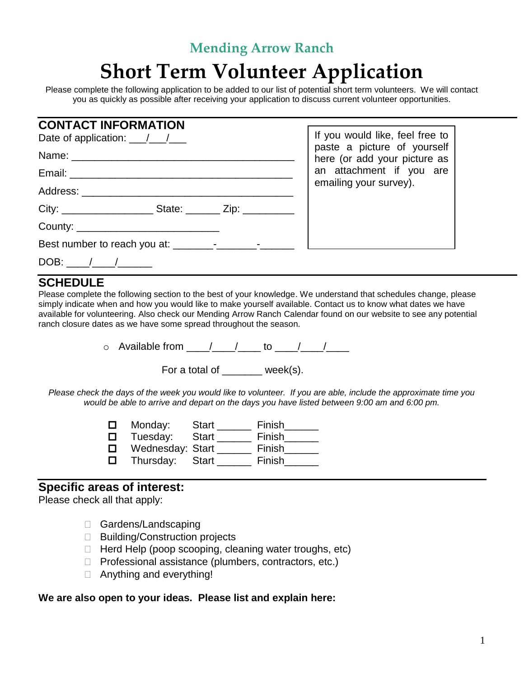## **Mending Arrow Ranch**

# **Short Term Volunteer Application**

Please complete the following application to be added to our list of potential short term volunteers. We will contact you as quickly as possible after receiving your application to discuss current volunteer opportunities.

| <b>CONTACT INFORMATION</b>      |                                                                                                                                                      |
|---------------------------------|------------------------------------------------------------------------------------------------------------------------------------------------------|
|                                 | If you would like, feel free to<br>paste a picture of yourself<br>here (or add your picture as<br>an attachment if you are<br>emailing your survey). |
|                                 |                                                                                                                                                      |
|                                 |                                                                                                                                                      |
| Address: ______________________ |                                                                                                                                                      |
|                                 |                                                                                                                                                      |
|                                 |                                                                                                                                                      |
|                                 |                                                                                                                                                      |
| DOB:                            |                                                                                                                                                      |

#### **SCHEDULE**

Please complete the following section to the best of your knowledge. We understand that schedules change, please simply indicate when and how you would like to make yourself available. Contact us to know what dates we have available for volunteering. Also check our Mending Arrow Ranch Calendar found on our website to see any potential ranch closure dates as we have some spread throughout the season.

 $\circ$  Available from  $\frac{1}{\sqrt{2}}$  to  $\frac{1}{\sqrt{2}}$ 

For a total of week(s).

*Please check the days of the week you would like to volunteer. If you are able, include the approximate time you would be able to arrive and depart on the days you have listed between 9:00 am and 6:00 pm.*

**D** Monday: Start \_\_\_\_\_\_ Finish\_\_\_\_\_\_

 $\square$  Tuesday: Start \_\_\_\_\_\_ Finish\_\_\_\_\_\_

- □ Wednesday: Start \_\_\_\_\_\_ Finish\_\_\_\_\_\_
- $\square$  Thursday: Start \_\_\_\_\_\_ Finish\_\_\_\_\_\_

#### **Specific areas of interest:**

Please check all that apply:

- □ Gardens/Landscaping
- □ Building/Construction projects
- $\Box$  Herd Help (poop scooping, cleaning water troughs, etc)
- $\Box$  Professional assistance (plumbers, contractors, etc.)
- □ Anything and everything!

#### **We are also open to your ideas. Please list and explain here:**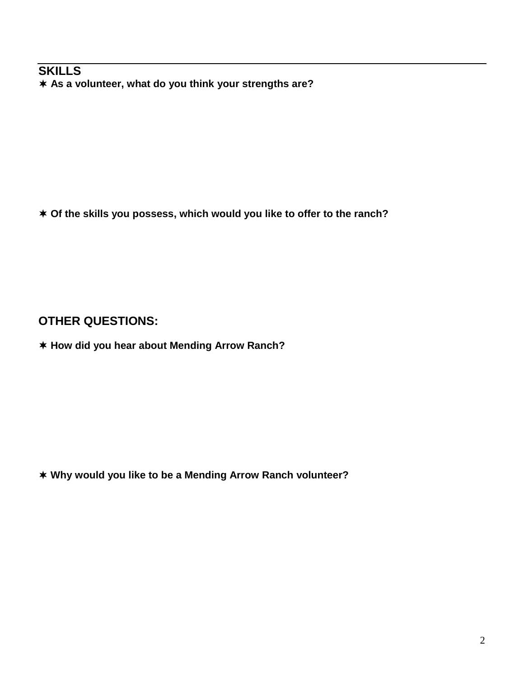#### **SKILLS As a volunteer, what do you think your strengths are?**

**Of the skills you possess, which would you like to offer to the ranch?**

### **OTHER QUESTIONS:**

**How did you hear about Mending Arrow Ranch?**

**Why would you like to be a Mending Arrow Ranch volunteer?**